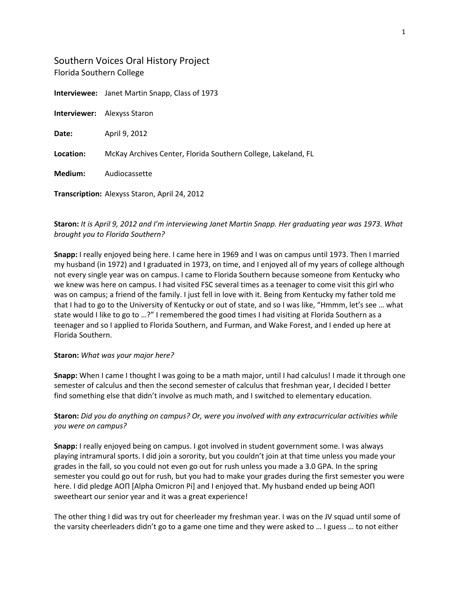# Southern Voices Oral History Project Florida Southern College

**Interviewee:** Janet Martin Snapp, Class of 1973 **Interviewer:** Alexyss Staron **Date:** April 9, 2012 **Location:** McKay Archives Center, Florida Southern College, Lakeland, FL **Medium:** Audiocassette **Transcription:** Alexyss Staron, April 24, 2012

# **Staron:** *It is April 9, 2012 and I'm interviewing Janet Martin Snapp. Her graduating year was 1973. What brought you to Florida Southern?*

**Snapp:** I really enjoyed being here. I came here in 1969 and I was on campus until 1973. Then I married my husband (in 1972) and I graduated in 1973, on time, and I enjoyed all of my years of college although not every single year was on campus. I came to Florida Southern because someone from Kentucky who we knew was here on campus. I had visited FSC several times as a teenager to come visit this girl who was on campus; a friend of the family. I just fell in love with it. Being from Kentucky my father told me that I had to go to the University of Kentucky or out of state, and so I was like, "Hmmm, let's see … what state would I like to go to …?" I remembered the good times I had visiting at Florida Southern as a teenager and so I applied to Florida Southern, and Furman, and Wake Forest, and I ended up here at Florida Southern.

## **Staron:** *What was your major here?*

**Snapp:** When I came I thought I was going to be a math major, until I had calculus! I made it through one semester of calculus and then the second semester of calculus that freshman year, I decided I better find something else that didn't involve as much math, and I switched to elementary education.

# **Staron:** *Did you do anything on campus? Or, were you involved with any extracurricular activities while you were on campus?*

**Snapp:** I really enjoyed being on campus. I got involved in student government some. I was always playing intramural sports. I did join a sorority, but you couldn't join at that time unless you made your grades in the fall, so you could not even go out for rush unless you made a 3.0 GPA. In the spring semester you could go out for rush, but you had to make your grades during the first semester you were here. I did pledge AOΠ [Alpha Omicron Pi] and I enjoyed that. My husband ended up being AOΠ sweetheart our senior year and it was a great experience!

The other thing I did was try out for cheerleader my freshman year. I was on the JV squad until some of the varsity cheerleaders didn't go to a game one time and they were asked to … I guess … to not either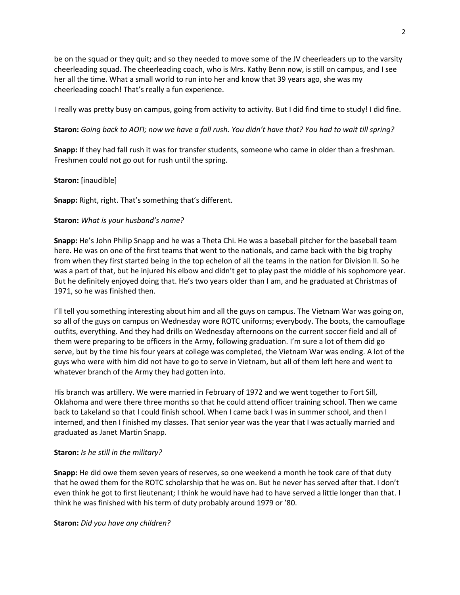be on the squad or they quit; and so they needed to move some of the JV cheerleaders up to the varsity cheerleading squad. The cheerleading coach, who is Mrs. Kathy Benn now, is still on campus, and I see her all the time. What a small world to run into her and know that 39 years ago, she was my cheerleading coach! That's really a fun experience.

I really was pretty busy on campus, going from activity to activity. But I did find time to study! I did fine.

**Staron:** *Going back to AOΠ; now we have a fall rush. You didn't have that? You had to wait till spring?*

**Snapp:** If they had fall rush it was for transfer students, someone who came in older than a freshman. Freshmen could not go out for rush until the spring.

## **Staron:** [inaudible]

**Snapp:** Right, right. That's something that's different.

## **Staron:** *What is your husband's name?*

**Snapp:** He's John Philip Snapp and he was a Theta Chi. He was a baseball pitcher for the baseball team here. He was on one of the first teams that went to the nationals, and came back with the big trophy from when they first started being in the top echelon of all the teams in the nation for Division II. So he was a part of that, but he injured his elbow and didn't get to play past the middle of his sophomore year. But he definitely enjoyed doing that. He's two years older than I am, and he graduated at Christmas of 1971, so he was finished then.

I'll tell you something interesting about him and all the guys on campus. The Vietnam War was going on, so all of the guys on campus on Wednesday wore ROTC uniforms; everybody. The boots, the camouflage outfits, everything. And they had drills on Wednesday afternoons on the current soccer field and all of them were preparing to be officers in the Army, following graduation. I'm sure a lot of them did go serve, but by the time his four years at college was completed, the Vietnam War was ending. A lot of the guys who were with him did not have to go to serve in Vietnam, but all of them left here and went to whatever branch of the Army they had gotten into.

His branch was artillery. We were married in February of 1972 and we went together to Fort Sill, Oklahoma and were there three months so that he could attend officer training school. Then we came back to Lakeland so that I could finish school. When I came back I was in summer school, and then I interned, and then I finished my classes. That senior year was the year that I was actually married and graduated as Janet Martin Snapp.

### **Staron:** *Is he still in the military?*

**Snapp:** He did owe them seven years of reserves, so one weekend a month he took care of that duty that he owed them for the ROTC scholarship that he was on. But he never has served after that. I don't even think he got to first lieutenant; I think he would have had to have served a little longer than that. I think he was finished with his term of duty probably around 1979 or '80.

**Staron:** *Did you have any children?*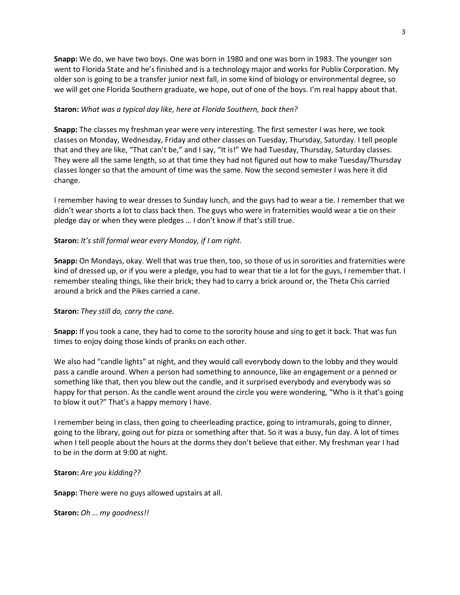3

**Snapp:** We do, we have two boys. One was born in 1980 and one was born in 1983. The younger son went to Florida State and he's finished and is a technology major and works for Publix Corporation. My older son is going to be a transfer junior next fall, in some kind of biology or environmental degree, so we will get one Florida Southern graduate, we hope, out of one of the boys. I'm real happy about that.

## **Staron:** *What was a typical day like, here at Florida Southern, back then?*

**Snapp:** The classes my freshman year were very interesting. The first semester I was here, we took classes on Monday, Wednesday, Friday and other classes on Tuesday, Thursday, Saturday. I tell people that and they are like, "That can't be," and I say, "It is!" We had Tuesday, Thursday, Saturday classes. They were all the same length, so at that time they had not figured out how to make Tuesday/Thursday classes longer so that the amount of time was the same. Now the second semester I was here it did change.

I remember having to wear dresses to Sunday lunch, and the guys had to wear a tie. I remember that we didn't wear shorts a lot to class back then. The guys who were in fraternities would wear a tie on their pledge day or when they were pledges … I don't know if that's still true.

## **Staron:** *It's still formal wear every Monday, if I am right.*

**Snapp:** On Mondays, okay. Well that was true then, too, so those of us in sororities and fraternities were kind of dressed up, or if you were a pledge, you had to wear that tie a lot for the guys, I remember that. I remember stealing things, like their brick; they had to carry a brick around or, the Theta Chis carried around a brick and the Pikes carried a cane.

### **Staron:** *They still do, carry the cane.*

**Snapp:** If you took a cane, they had to come to the sorority house and sing to get it back. That was fun times to enjoy doing those kinds of pranks on each other.

We also had "candle lights" at night, and they would call everybody down to the lobby and they would pass a candle around. When a person had something to announce, like an engagement or a penned or something like that, then you blew out the candle, and it surprised everybody and everybody was so happy for that person. As the candle went around the circle you were wondering, "Who is it that's going to blow it out?" That's a happy memory I have.

I remember being in class, then going to cheerleading practice, going to intramurals, going to dinner, going to the library, going out for pizza or something after that. So it was a busy, fun day. A lot of times when I tell people about the hours at the dorms they don't believe that either. My freshman year I had to be in the dorm at 9:00 at night.

### **Staron:** *Are you kidding??*

**Snapp:** There were no guys allowed upstairs at all.

**Staron:** *Oh … my goodness!!*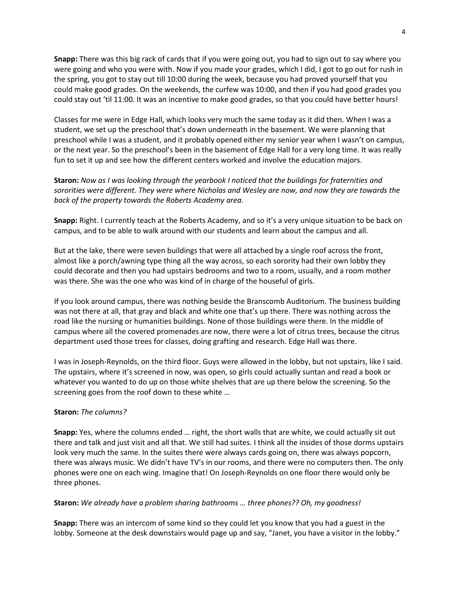**Snapp:** There was this big rack of cards that if you were going out, you had to sign out to say where you were going and who you were with. Now if you made your grades, which I did, I got to go out for rush in the spring, you got to stay out till 10:00 during the week, because you had proved yourself that you could make good grades. On the weekends, the curfew was 10:00, and then if you had good grades you could stay out 'til 11:00. It was an incentive to make good grades, so that you could have better hours!

Classes for me were in Edge Hall, which looks very much the same today as it did then. When I was a student, we set up the preschool that's down underneath in the basement. We were planning that preschool while I was a student, and it probably opened either my senior year when I wasn't on campus, or the next year. So the preschool's been in the basement of Edge Hall for a very long time. It was really fun to set it up and see how the different centers worked and involve the education majors.

**Staron:** *Now as I was looking through the yearbook I noticed that the buildings for fraternities and sororities were different. They were where Nicholas and Wesley are now, and now they are towards the back of the property towards the Roberts Academy area.*

**Snapp:** Right. I currently teach at the Roberts Academy, and so it's a very unique situation to be back on campus, and to be able to walk around with our students and learn about the campus and all.

But at the lake, there were seven buildings that were all attached by a single roof across the front, almost like a porch/awning type thing all the way across, so each sorority had their own lobby they could decorate and then you had upstairs bedrooms and two to a room, usually, and a room mother was there. She was the one who was kind of in charge of the houseful of girls.

If you look around campus, there was nothing beside the Branscomb Auditorium. The business building was not there at all, that gray and black and white one that's up there. There was nothing across the road like the nursing or humanities buildings. None of those buildings were there. In the middle of campus where all the covered promenades are now, there were a lot of citrus trees, because the citrus department used those trees for classes, doing grafting and research. Edge Hall was there.

I was in Joseph-Reynolds, on the third floor. Guys were allowed in the lobby, but not upstairs, like I said. The upstairs, where it's screened in now, was open, so girls could actually suntan and read a book or whatever you wanted to do up on those white shelves that are up there below the screening. So the screening goes from the roof down to these white …

### **Staron:** *The columns?*

**Snapp:** Yes, where the columns ended … right, the short walls that are white, we could actually sit out there and talk and just visit and all that. We still had suites. I think all the insides of those dorms upstairs look very much the same. In the suites there were always cards going on, there was always popcorn, there was always music. We didn't have TV's in our rooms, and there were no computers then. The only phones were one on each wing. Imagine that! On Joseph-Reynolds on one floor there would only be three phones.

### **Staron:** *We already have a problem sharing bathrooms … three phones?? Oh, my goodness!*

**Snapp:** There was an intercom of some kind so they could let you know that you had a guest in the lobby. Someone at the desk downstairs would page up and say, "Janet, you have a visitor in the lobby."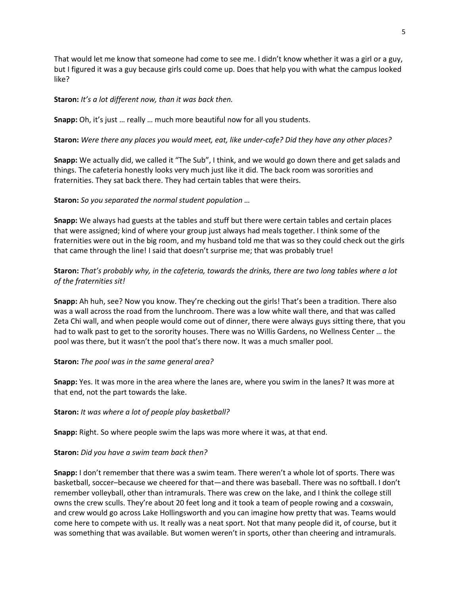That would let me know that someone had come to see me. I didn't know whether it was a girl or a guy, but I figured it was a guy because girls could come up. Does that help you with what the campus looked like?

#### **Staron:** *It's a lot different now, than it was back then.*

**Snapp:** Oh, it's just … really … much more beautiful now for all you students.

#### **Staron:** *Were there any places you would meet, eat, like under-cafe? Did they have any other places?*

**Snapp:** We actually did, we called it "The Sub", I think, and we would go down there and get salads and things. The cafeteria honestly looks very much just like it did. The back room was sororities and fraternities. They sat back there. They had certain tables that were theirs.

#### **Staron:** *So you separated the normal student population …*

**Snapp:** We always had guests at the tables and stuff but there were certain tables and certain places that were assigned; kind of where your group just always had meals together. I think some of the fraternities were out in the big room, and my husband told me that was so they could check out the girls that came through the line! I said that doesn't surprise me; that was probably true!

## **Staron:** *That's probably why, in the cafeteria, towards the drinks, there are two long tables where a lot of the fraternities sit!*

**Snapp:** Ah huh, see? Now you know. They're checking out the girls! That's been a tradition. There also was a wall across the road from the lunchroom. There was a low white wall there, and that was called Zeta Chi wall, and when people would come out of dinner, there were always guys sitting there, that you had to walk past to get to the sorority houses. There was no Willis Gardens, no Wellness Center … the pool was there, but it wasn't the pool that's there now. It was a much smaller pool.

### **Staron:** *The pool was in the same general area?*

**Snapp:** Yes. It was more in the area where the lanes are, where you swim in the lanes? It was more at that end, not the part towards the lake.

#### **Staron:** *It was where a lot of people play basketball?*

**Snapp:** Right. So where people swim the laps was more where it was, at that end.

#### **Staron:** *Did you have a swim team back then?*

**Snapp:** I don't remember that there was a swim team. There weren't a whole lot of sports. There was basketball, soccer–because we cheered for that—and there was baseball. There was no softball. I don't remember volleyball, other than intramurals. There was crew on the lake, and I think the college still owns the crew sculls. They're about 20 feet long and it took a team of people rowing and a coxswain, and crew would go across Lake Hollingsworth and you can imagine how pretty that was. Teams would come here to compete with us. It really was a neat sport. Not that many people did it, of course, but it was something that was available. But women weren't in sports, other than cheering and intramurals.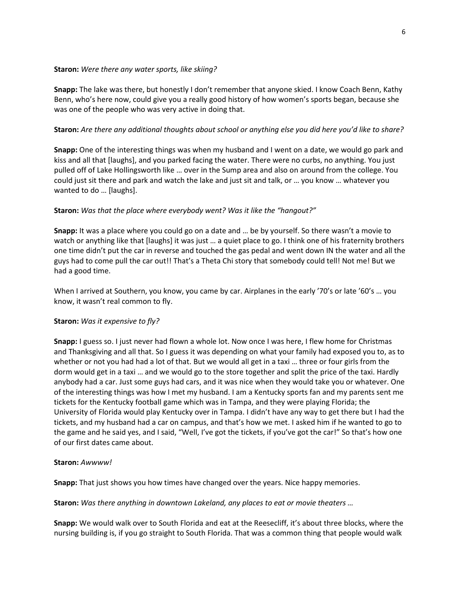## **Staron:** *Were there any water sports, like skiing?*

**Snapp:** The lake was there, but honestly I don't remember that anyone skied. I know Coach Benn, Kathy Benn, who's here now, could give you a really good history of how women's sports began, because she was one of the people who was very active in doing that.

## **Staron:** *Are there any additional thoughts about school or anything else you did here you'd like to share?*

**Snapp:** One of the interesting things was when my husband and I went on a date, we would go park and kiss and all that [laughs], and you parked facing the water. There were no curbs, no anything. You just pulled off of Lake Hollingsworth like … over in the Sump area and also on around from the college. You could just sit there and park and watch the lake and just sit and talk, or … you know … whatever you wanted to do … [laughs].

## **Staron:** *Was that the place where everybody went? Was it like the "hangout?"*

**Snapp:** It was a place where you could go on a date and … be by yourself. So there wasn't a movie to watch or anything like that [laughs] it was just … a quiet place to go. I think one of his fraternity brothers one time didn't put the car in reverse and touched the gas pedal and went down IN the water and all the guys had to come pull the car out!! That's a Theta Chi story that somebody could tell! Not me! But we had a good time.

When I arrived at Southern, you know, you came by car. Airplanes in the early '70's or late '60's … you know, it wasn't real common to fly.

## **Staron:** *Was it expensive to fly?*

**Snapp:** I guess so. I just never had flown a whole lot. Now once I was here, I flew home for Christmas and Thanksgiving and all that. So I guess it was depending on what your family had exposed you to, as to whether or not you had had a lot of that. But we would all get in a taxi … three or four girls from the dorm would get in a taxi … and we would go to the store together and split the price of the taxi. Hardly anybody had a car. Just some guys had cars, and it was nice when they would take you or whatever. One of the interesting things was how I met my husband. I am a Kentucky sports fan and my parents sent me tickets for the Kentucky football game which was in Tampa, and they were playing Florida; the University of Florida would play Kentucky over in Tampa. I didn't have any way to get there but I had the tickets, and my husband had a car on campus, and that's how we met. I asked him if he wanted to go to the game and he said yes, and I said, "Well, I've got the tickets, if you've got the car!" So that's how one of our first dates came about.

## **Staron:** *Awwww!*

**Snapp:** That just shows you how times have changed over the years. Nice happy memories.

**Staron:** *Was there anything in downtown Lakeland, any places to eat or movie theaters …*

**Snapp:** We would walk over to South Florida and eat at the Reesecliff, it's about three blocks, where the nursing building is, if you go straight to South Florida. That was a common thing that people would walk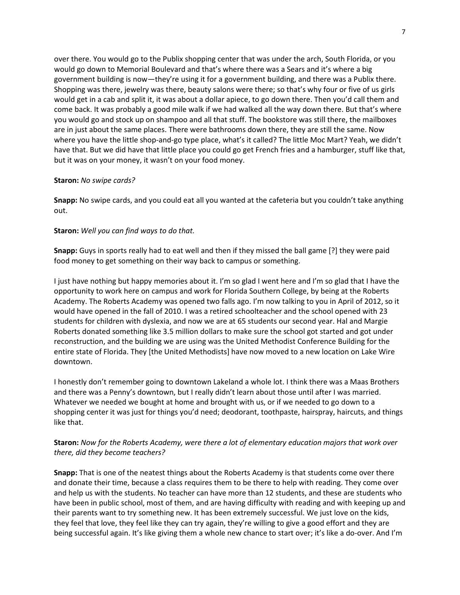over there. You would go to the Publix shopping center that was under the arch, South Florida, or you would go down to Memorial Boulevard and that's where there was a Sears and it's where a big government building is now—they're using it for a government building, and there was a Publix there. Shopping was there, jewelry was there, beauty salons were there; so that's why four or five of us girls would get in a cab and split it, it was about a dollar apiece, to go down there. Then you'd call them and come back. It was probably a good mile walk if we had walked all the way down there. But that's where you would go and stock up on shampoo and all that stuff. The bookstore was still there, the mailboxes are in just about the same places. There were bathrooms down there, they are still the same. Now where you have the little shop-and-go type place, what's it called? The little Moc Mart? Yeah, we didn't have that. But we did have that little place you could go get French fries and a hamburger, stuff like that, but it was on your money, it wasn't on your food money.

#### **Staron:** *No swipe cards?*

**Snapp:** No swipe cards, and you could eat all you wanted at the cafeteria but you couldn't take anything out.

### **Staron:** *Well you can find ways to do that.*

**Snapp:** Guys in sports really had to eat well and then if they missed the ball game [?] they were paid food money to get something on their way back to campus or something.

I just have nothing but happy memories about it. I'm so glad I went here and I'm so glad that I have the opportunity to work here on campus and work for Florida Southern College, by being at the Roberts Academy. The Roberts Academy was opened two falls ago. I'm now talking to you in April of 2012, so it would have opened in the fall of 2010. I was a retired schoolteacher and the school opened with 23 students for children with dyslexia, and now we are at 65 students our second year. Hal and Margie Roberts donated something like 3.5 million dollars to make sure the school got started and got under reconstruction, and the building we are using was the United Methodist Conference Building for the entire state of Florida. They [the United Methodists] have now moved to a new location on Lake Wire downtown.

I honestly don't remember going to downtown Lakeland a whole lot. I think there was a Maas Brothers and there was a Penny's downtown, but I really didn't learn about those until after I was married. Whatever we needed we bought at home and brought with us, or if we needed to go down to a shopping center it was just for things you'd need; deodorant, toothpaste, hairspray, haircuts, and things like that.

## **Staron:** *Now for the Roberts Academy, were there a lot of elementary education majors that work over there, did they become teachers?*

**Snapp:** That is one of the neatest things about the Roberts Academy is that students come over there and donate their time, because a class requires them to be there to help with reading. They come over and help us with the students. No teacher can have more than 12 students, and these are students who have been in public school, most of them, and are having difficulty with reading and with keeping up and their parents want to try something new. It has been extremely successful. We just love on the kids, they feel that love, they feel like they can try again, they're willing to give a good effort and they are being successful again. It's like giving them a whole new chance to start over; it's like a do-over. And I'm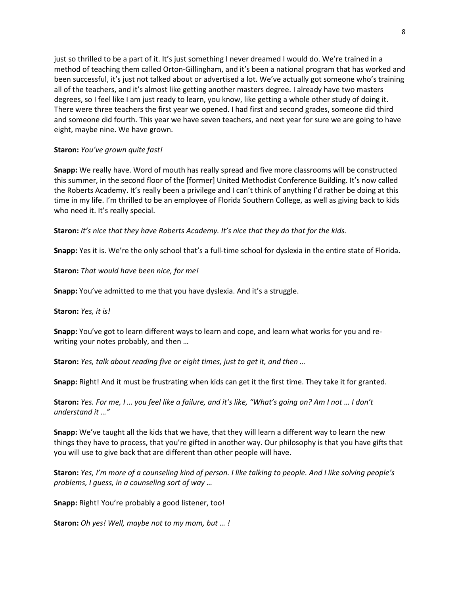just so thrilled to be a part of it. It's just something I never dreamed I would do. We're trained in a method of teaching them called Orton-Gillingham, and it's been a national program that has worked and been successful, it's just not talked about or advertised a lot. We've actually got someone who's training all of the teachers, and it's almost like getting another masters degree. I already have two masters degrees, so I feel like I am just ready to learn, you know, like getting a whole other study of doing it. There were three teachers the first year we opened. I had first and second grades, someone did third and someone did fourth. This year we have seven teachers, and next year for sure we are going to have eight, maybe nine. We have grown.

## **Staron:** *You've grown quite fast!*

**Snapp:** We really have. Word of mouth has really spread and five more classrooms will be constructed this summer, in the second floor of the [former] United Methodist Conference Building. It's now called the Roberts Academy. It's really been a privilege and I can't think of anything I'd rather be doing at this time in my life. I'm thrilled to be an employee of Florida Southern College, as well as giving back to kids who need it. It's really special.

**Staron:** *It's nice that they have Roberts Academy. It's nice that they do that for the kids.*

**Snapp:** Yes it is. We're the only school that's a full-time school for dyslexia in the entire state of Florida.

**Staron:** *That would have been nice, for me!*

**Snapp:** You've admitted to me that you have dyslexia. And it's a struggle.

**Staron:** *Yes, it is!*

**Snapp:** You've got to learn different ways to learn and cope, and learn what works for you and rewriting your notes probably, and then …

**Staron:** *Yes, talk about reading five or eight times, just to get it, and then …*

**Snapp:** Right! And it must be frustrating when kids can get it the first time. They take it for granted.

**Staron:** *Yes. For me, I … you feel like a failure, and it's like, "What's going on? Am I not … I don't understand it …"*

**Snapp:** We've taught all the kids that we have, that they will learn a different way to learn the new things they have to process, that you're gifted in another way. Our philosophy is that you have gifts that you will use to give back that are different than other people will have.

**Staron:** *Yes, I'm more of a counseling kind of person. I like talking to people. And I like solving people's problems, I guess, in a counseling sort of way …*

**Snapp:** Right! You're probably a good listener, too!

**Staron:** *Oh yes! Well, maybe not to my mom, but … !*